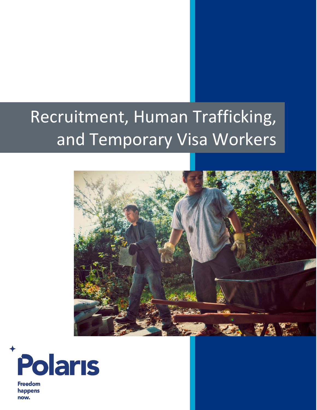# Recruitment, Human Trafficking, and Temporary Visa Workers





**Freedom** happens now.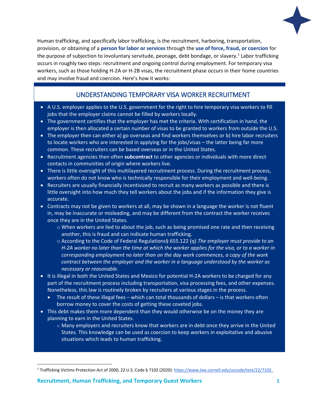

Human trafficking, and specifically labor trafficking, is the recruitment, harboring, transportation, provision, or obtaining of a **person for labor or services** through the **use of force, fraud, or coercion** for the purpose of subjection to involuntary servitude, peonage, debt bondage, or slavery.<sup>1</sup> Labor trafficking occurs in roughly two steps: recruitment and ongoing control during employment. For temporary visa workers, such as those holding H-2A or H-2B visas, the recruitment phase occurs in their home countries and may involve fraud and coercion. Here's how it works:

# UNDERSTANDING TEMPORARY VISA WORKER RECRUITMENT

- A U.S. employer applies to the U.S. government for the right to hire temporary visa workers to fill jobs that the employer claims cannot be filled by workers locally.
- The government certifies that the employer has met the criteria. With certification in hand, the employer is then allocated a certain number of visas to be granted to workers from outside the U.S.
- The employer then can either a) go overseas and find workers themselves or b) hire labor recruiters to locate workers who are interested in applying for the jobs/visas – the latter being far more common. These recruiters can be based overseas or in the United States.
- Recruitment agencies then often **subcontract** to other agencies or individuals with more direct contacts in communities of origin where workers live.
- There is little oversight of this multilayered recruitment process. During the recruitment process, workers often do not know who is technically responsible for their employment and well-being.
- Recruiters are usually financially incentivized to recruit as many workers as possible and there is little oversight into how much they tell workers about the jobs and if the information they give is accurate.
- Contracts may not be given to workers at all, may be shown in a language the worker is not fluent in, may be inaccurate or misleading, and may be different from the contract the worker receives once they are in the United States.
	- o When workers are lied to about the job, such as being promised one rate and then receiving another, this is fraud and can indicate human trafficking.
	- o According to the Code of Federal Regulations§ 655.122 (q) *The employer must provide to an H-2A worker no later than the time at which the worker applies for the visa, or to a worker in corresponding employment no later than on the day work commences, a copy of the work contract between the employer and the worker in a language understood by the worker as necessary or reasonable*.
- It is illegal in both the United States and Mexico for potential H-2A workers to be charged for any part of the recruitment process including transportation, visa processing fees, and other expenses. Nonetheless, this law is routinely broken by recruiters at various stages in the process.
	- The result of these illegal fees which can total thousands of dollars is that workers often borrow money to cover the costs of getting these coveted jobs.
- This debt makes them more dependent than they would otherwise be on the money they are planning to earn in the United States.
	- $\circ$  Many employers and recruiters know that workers are in debt once they arrive in the United States. This knowledge can be used as coercion to keep workers in exploitative and abusive situations which leads to human trafficking.

 $\overline{a}$ 

<sup>1</sup> Trafficking Victims Protection Act of 2000, 22 U.S. Code § 7102 (2020)[: https://www.law.cornell.edu/uscode/text/22/7102.](https://www.law.cornell.edu/uscode/text/22/7102)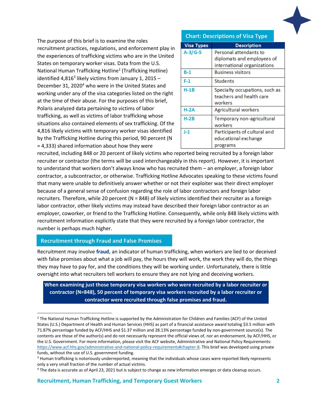

The purpose of this brief is to examine the roles recruitment practices, regulations, and enforcement play in the experiences of trafficking victims who are in the United States on temporary worker visas. Data from the U.S. National Human Trafficking Hotline<sup>2</sup> (Trafficking Hotline) identified 4,816<sup>3</sup> likely victims from January 1, 2015 -December 31, 2020<sup>4</sup> who were in the United States and working under any of the visa categories listed on the right at the time of their abuse. For the purposes of this brief, Polaris analyzed data pertaining to victims of labor trafficking, as well as victims of labor trafficking whose situations also contained elements of sex trafficking. Of the 4,816 likely victims with temporary worker visas identified by the Trafficking Hotline during this period, 90 percent (N = 4,333) shared information about how they were

#### **Chart: Descriptions of Visa Type**

| <b>Visa Types</b> | <b>Description</b>             |
|-------------------|--------------------------------|
| $A-3/G-5$         | Personal attendants to         |
|                   | diplomats and employees of     |
|                   | international organizations    |
| B-1               | <b>Business visitors</b>       |
| F-1               | <b>Students</b>                |
| <b>H-1B</b>       | Specialty occupations, such as |
|                   | teachers and health care       |
|                   | workers                        |
| $H-2A$            | <b>Agricultural workers</b>    |
| <b>H-2B</b>       | Temporary non-agricultural     |
|                   | workers                        |
| $J-1$             | Participants of cultural and   |
|                   | educational exchange           |
|                   | programs                       |

recruited, including 848 or 20 percent of likely victims who reported being recruited by a foreign labor recruiter or contractor (the terms will be used interchangeably in this report). However, it is important to understand that workers don't always know who has recruited them – an employer, a foreign labor contractor, a subcontractor, or otherwise. Trafficking Hotline Advocates speaking to these victims found that many were unable to definitively answer whether or not their exploiter was their direct employer because of a general sense of confusion regarding the role of labor contractors and foreign labor recruiters. Therefore, while 20 percent (N = 848) of likely victims identified their recruiter as a foreign labor contractor, other likely victims may instead have described their foreign labor contractor as an employer, coworker, or friend to the Trafficking Hotline. Consequently, while only 848 likely victims with recruitment information explicitly state that they were recruited by a foreign labor contractor, the number is perhaps much higher.

## **Recruitment through Fraud and False Promises**

 $\overline{\phantom{a}}$ 

Recruitment may involve **fraud**, an indicator of human trafficking, when workers are lied to or deceived with false promises about what a job will pay, the hours they will work, the work they will do, the things they may have to pay for, and the conditions they will be working under. Unfortunately, there is little oversight into what recruiters tell workers to ensure they are not lying and deceiving workers.

**When examining just those temporary visa workers who were recruited by a labor recruiter or contractor (N=848), 50 percent of temporary visa workers recruited by a labor recruiter or contractor were recruited through false promises and fraud.**

 $2$  The National Human Trafficking Hotline is supported by the Administration for Children and Families (ACF) of the United States (U.S.) Department of Health and Human Services (HHS) as part of a financial assistance award totaling \$3.5 million with 71.87% percentage funded by ACF/HHS and \$1.37 million and 28.13% percentage funded by non-government source(s). The contents are those of the author(s) and do not necessarily represent the official views of, nor an endorsement, by ACF/HHS, or the U.S. Government. For more information, please visit the ACF website, Administrative and National Policy Requirements: [https://www.acf.hhs.gov/administrative-and-national-policy-requirements#chapter-8.](https://www.acf.hhs.gov/administrative-and-national-policy-requirements#chapter-8) This brief was developed using private funds, without the use of U.S. government funding.

<sup>&</sup>lt;sup>3</sup> Human trafficking is notoriously underreported, meaning that the individuals whose cases were reported likely represents only a very small fraction of the number of actual victims.

<sup>4</sup> The data is accurate as of April 23, 2021 but is subject to change as new information emerges or data cleanup occurs.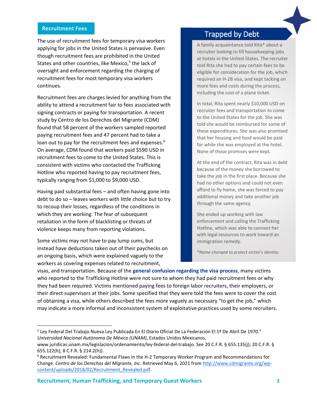#### **Recruitment Fees**

The use of recruitment fees for temporary visa workers applying for jobs in the United States is pervasive. Even though recruitment fees are prohibited in the United States and other countries, like Mexico, 5 the lack of oversight and enforcement regarding the charging of recruitment fees for most temporary visa workers continues.

Recruitment fees are charges levied for anything from the ability to attend a recruitment fair to fees associated with signing contracts or paying for transportation. A recent study by Centro de los Derechos del Migrante (CDM) found that 58 percent of the workers sampled reported paying recruitment fees and 47 percent had to take a loan out to pay for the recruitment fees and expenses.<sup>6</sup> On average, CDM found that workers paid \$590 USD in recruitment fees to come to the United States. This is consistent with victims who contacted the Trafficking Hotline who reported having to pay recruitment fees, typically ranging from \$1,000 to \$9,000 USD.

Having paid substantial fees – and often having gone into debt to do so – leaves workers with little choice but to try to recoup their losses, regardless of the conditions in which they are working. The fear of subsequent retaliation in the form of blacklisting or threats of violence keeps many from reporting violations.

Some victims may not have to pay lump sums, but instead have deductions taken out of their paychecks on an ongoing basis, which were explained vaguely to the workers as covering expenses related to recruitment,

 $\overline{\phantom{a}}$ 

# Trapped by Debt

A family acquaintance told Rita\* about a recruiter looking to fill housekeeping jobs at hotels in the United States. The recruiter told Rita she had to pay certain fees to be eligible for consideration for the job, which required an H-2B visa, and kept tacking on more fees and costs during the process, including the cost of a plane ticket.

In total, Rita spent nearly \$10,000 USD on recruiter fees and transportation to come to the United States for the job. She was told she would be reimbursed for some of these expenditures. She was also promised that her housing and food would be paid for while she was employed at the hotel. None of those promises were kept.

At the end of the contract, Rita was in debt because of the money she borrowed to take the job in the first place. Because she had no other options and could not even afford to fly home, she was forced to pay additional money and take another job through the same agency.

She ended up working with law enforcement and calling the Trafficking Hotline, which was able to connect her with legal resources to work toward an immigration remedy.

*\*Name changed to protect victim's identity.*

visas, and transportation. Because of the **general confusion regarding the visa process**, many victims who reported to the Trafficking Hotline were not sure to whom they had paid recruitment fees or why they had been required. Victims mentioned paying fees to foreign labor recruiters, their employers, or their direct supervisors at their jobs. Some specified that they were told the fees were to cover the cost of obtaining a visa, while others described the fees more vaguely as necessary "to get the job," which may indicate a more informal and inconsistent system of exploitative practices used by some recruiters.

<sup>5</sup> Ley Federal Del Trabajo Nueva Ley Publicada En El Diario Oficial De La Federación El 1º De Abril De 1970." *Universidad Nacional Autónoma De México (UNAM)*, Estados Unidos Mexicanos,

www.juridicas.unam.mx/legislacion/ordenamiento/ley-federal-del-trabajo. See 20 C.F.R. § 655.135(j); 20 C.F.R. § 655.122(h); 8 C.F.R. § 214.2(h)).

<sup>6</sup> Recruitment Revealed: Fundamental Flaws in the H-2 Temporary Worker Program and Recommendations for Change. *Centro de los Derechos del Migrante, Inc*. Retrieved May 6, 2021 from [http://www.cdmigrante.org/wp](http://www.cdmigrante.org/wp-content/uploads/2018/02/Recruitment_Revealed.pdf)[content/uploads/2018/02/Recruitment\\_Revealed.pdf.](http://www.cdmigrante.org/wp-content/uploads/2018/02/Recruitment_Revealed.pdf)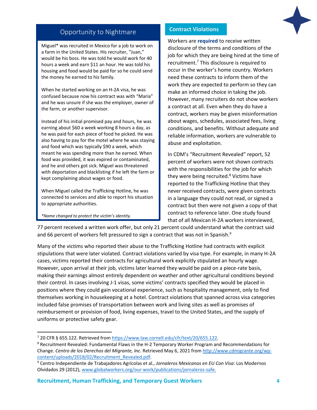

## Opportunity to Nightmare

Miguel\* was recruited in Mexico for a job to work on a farm in the United States. His recruiter, "Juan," would be his boss. He was told he would work for 40 hours a week and earn \$11 an hour. He was told his housing and food would be paid for so he could send the money he earned to his family.

When he started working on an H-2A visa, he was confused because now his contract was with "Maria" and he was unsure if she was the employer, owner of the farm, or another supervisor.

Instead of his initial promised pay and hours, he was earning about \$60 a week working 8 hours a day, as he was paid for each piece of food he picked. He was also having to pay for the motel where he was staying and food which was typically \$90 a week, which meant he was spending more than he earned. When food was provided, it was expired or contaminated, and he and others got sick. Miguel was threatened with deportation and blacklisting if he left the farm or kept complaining about wages or food.

When Miguel called the Trafficking Hotline, he was connected to services and able to report his situation to appropriate authorities.

*\*Name changed to protect the victim's identity.*

l

## **Contract Violations**

Workers are **required** to receive written disclosure of the terms and conditions of the job for which they are being hired at the time of recruitment.<sup>7</sup> This disclosure is required to occur in the worker's home country. Workers need these contracts to inform them of the work they are expected to perform so they can make an informed choice in taking the job. However, many recruiters do not show workers a contract at all. Even when they do have a contract, workers may be given misinformation about wages, schedules, associated fees, living conditions, and benefits. Without adequate and reliable information, workers are vulnerable to abuse and exploitation.

In CDM's "Recruitment Revealed" report, 52 percent of workers were not shown contracts with the responsibilities for the job for which they were being recruited.<sup>8</sup> Victims have reported to the Trafficking Hotline that they never received contracts, were given contracts in a language they could not read, or signed a contract but then were not given a copy of that contract to reference later. One study found that of all Mexican H-2A workers interviewed,

77 percent received a written work offer, but only 21 percent could understand what the contract said and 66 percent of workers felt pressured to sign a contract that was not in Spanish.<sup>9</sup>

Many of the victims who reported their abuse to the Trafficking Hotline had contracts with explicit stipulations that were later violated. Contract violations varied by visa type. For example, in many H-2A cases, victims reported their contracts for agricultural work explicitly stipulated an hourly wage. However, upon arrival at their job, victims later learned they would be paid on a piece-rate basis, making their earnings almost entirely dependent on weather and other agricultural conditions beyond their control. In cases involving J-1 visas, some victims' contracts specified they would be placed in positions where they could gain vocational experience, such as hospitality management, only to find themselves working in housekeeping at a hotel. Contract violations that spanned across visa categories included false promises of transportation between work and living sites as well as promises of reimbursement or provision of food, living expenses, travel to the United States, and the supply of uniforms or protective safety gear.

<sup>7</sup> 20 CFR § 655.122. Retrieved from [https://www.law.cornell.edu/cfr/text/20/655.122.](https://www.law.cornell.edu/cfr/text/20/655.122)

<sup>&</sup>lt;sup>8</sup> Recruitment Revealed: Fundamental Flaws in the H-2 Temporary Worker Program and Recommendations for Change. *Centro de los Derechos del Migrante, Inc*. Retrieved May 6, 2021 fro[m http://www.cdmigrante.org/wp](http://www.cdmigrante.org/wp-content/uploads/2018/02/Recruitment_Revealed.pdf)[content/uploads/2018/02/Recruitment\\_Revealed.pdf.](http://www.cdmigrante.org/wp-content/uploads/2018/02/Recruitment_Revealed.pdf)

<sup>9</sup> Centro Independiente de Trabajadores Agrícolas et al., *Jornaleros Mexicanos en EU Con Visa*: Los Modernos Olvidados 29 (2012), [www.globalworkers.org/our-work/publications/jornaleros-safe.](http://www.globalworkers.org/our-work/publications/jornaleros-safe)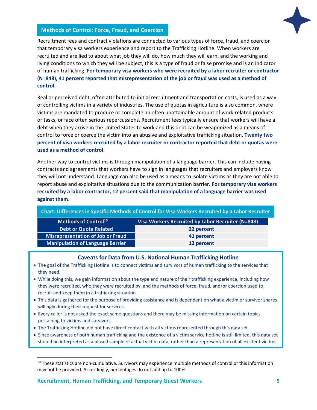

## **Methods of Control: Force, Fraud, and Coercion**

Recruitment fees and contract violations are connected to various types of force, fraud, and coercion that temporary visa workers experience and report to the Trafficking Hotline. When workers are recruited and are lied to about what job they will do, how much they will earn, and the working and living conditions to which they will be subject, this is a type of fraud or false promise and is an indicator of human trafficking. **For temporary visa workers who were recruited by a labor recruiter or contractor (N=848), 41 percent reported that misrepresentation of the job or fraud was used as a method of control.**

Real or perceived debt, often attributed to initial recruitment and transportation costs, is used as a way of controlling victims in a variety of industries. The use of quotas in agriculture is also common, where victims are mandated to produce or complete an often unattainable amount of work-related products or tasks, or face often serious repercussions. Recruitment fees typically ensure that workers will have a debt when they arrive in the United States to work and this debt can be weaponized as a means of control to force or coerce the victim into an abusive and exploitative trafficking situation. **Twenty two percent of visa workers recruited by a labor recruiter or contractor reported that debt or quotas were used as a method of control.**

Another way to control victims is through manipulation of a language barrier. This can include having contracts and agreements that workers have to sign in languages that recruiters and employers know they will not understand. Language can also be used as a means to isolate victims as they are not able to report abuse and exploitative situations due to the communication barrier. **For temporary visa workers recruited by a labor contractor, 12 percent said that manipulation of a language barrier was used against them.**

| Chart: Differences in Specific Methods of Control for Visa Workers Recruited by a Labor Recruiter |                                                   |  |
|---------------------------------------------------------------------------------------------------|---------------------------------------------------|--|
| Methods of Control <sup>10</sup>                                                                  | Visa Workers Recruited by Labor Recruiter (N=848) |  |
| <b>Debt or Quota Related</b>                                                                      | 22 percent                                        |  |
| <b>Misrepresentation of Job or Fraud</b>                                                          | 41 percent                                        |  |
| <b>Manipulation of Language Barrier</b>                                                           | 12 percent                                        |  |

## **Caveats for Data from U.S. National Human Trafficking Hotline**

- The goal of the Trafficking Hotline is to connect victims and survivors of human trafficking to the services that they need.
- While doing this, we gain information about the type and nature of their trafficking experience, including how they were recruited, who they were recruited by, and the methods of force, fraud, and/or coercion used to recruit and keep them in a trafficking situation.
- This data is gathered for the purpose of providing assistance and is dependent on what a victim or survivor shares willingly during their request for services.
- Every caller is not asked the exact same questions and there may be missing information on certain topics pertaining to victims and survivors.
- The Trafficking Hotline did not have direct contact with all victims represented through this data set.
- Since awareness of both human trafficking and the existence of a victim service hotline is still limited, this data set should be interpreted as a biased sample of actual victim data, rather than a representation of all existent victims.

 $\overline{\phantom{a}}$ 

 $10$  These statistics are non-cumulative. Survivors may experience multiple methods of control or this information may not be provided. Accordingly, percentages do not add up to 100%.